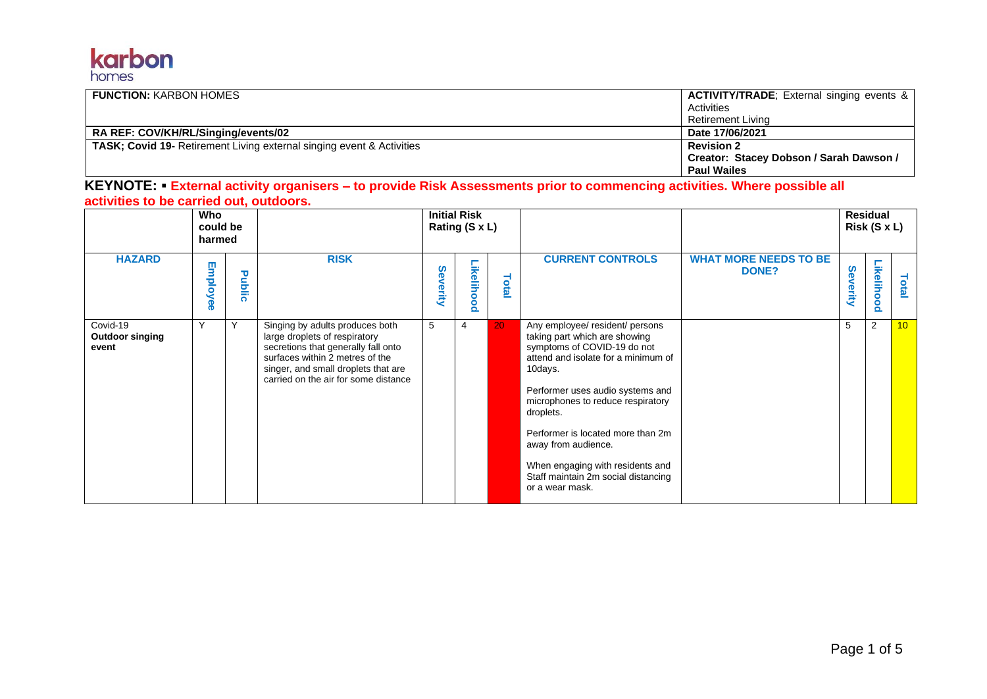## karbon homes

| <b>FUNCTION: KARBON HOMES</b>                                                | <b>ACTIVITY/TRADE</b> ; External singing events & |
|------------------------------------------------------------------------------|---------------------------------------------------|
|                                                                              | Activities                                        |
|                                                                              | Retirement Living                                 |
| RA REF: COV/KH/RL/Singing/events/02                                          | Date 17/06/2021                                   |
| <b>TASK; Covid 19-</b> Retirement Living external singing event & Activities | <b>Revision 2</b>                                 |
|                                                                              | Creator: Stacey Dobson / Sarah Dawson /           |
|                                                                              | <b>Paul Wailes</b>                                |

**KEYNOTE:** ▪ **External activity organisers – to provide Risk Assessments prior to commencing activities. Where possible all activities to be carried out, outdoors.** 

|                                             | Who<br>could be<br>harmed |        |                                                                                                                                                                                                                           | <b>Initial Risk</b><br>Rating (S x L) |                                        |       |                                                                                                                                                                                                                                                                                                                                                                                                   |                                              |              | <b>Residual</b><br>Risk (S x L) |                 |
|---------------------------------------------|---------------------------|--------|---------------------------------------------------------------------------------------------------------------------------------------------------------------------------------------------------------------------------|---------------------------------------|----------------------------------------|-------|---------------------------------------------------------------------------------------------------------------------------------------------------------------------------------------------------------------------------------------------------------------------------------------------------------------------------------------------------------------------------------------------------|----------------------------------------------|--------------|---------------------------------|-----------------|
| <b>HAZARD</b>                               | Employee                  | Public | <b>RISK</b>                                                                                                                                                                                                               | Severity                              | Likelih<br>Ō<br>ŏ<br>$\mathbf{\Omega}$ | Total | <b>CURRENT CONTROLS</b>                                                                                                                                                                                                                                                                                                                                                                           | <b>WHAT MORE NEEDS TO BE</b><br><b>DONE?</b> | Sev<br>erity | Likelihood                      | Total           |
| Covid-19<br><b>Outdoor singing</b><br>event | Υ                         | Υ      | Singing by adults produces both<br>large droplets of respiratory<br>secretions that generally fall onto<br>surfaces within 2 metres of the<br>singer, and small droplets that are<br>carried on the air for some distance | 5                                     | 4                                      | 20    | Any employee/ resident/ persons<br>taking part which are showing<br>symptoms of COVID-19 do not<br>attend and isolate for a minimum of<br>10days.<br>Performer uses audio systems and<br>microphones to reduce respiratory<br>droplets.<br>Performer is located more than 2m<br>away from audience.<br>When engaging with residents and<br>Staff maintain 2m social distancing<br>or a wear mask. |                                              | 5            | $\overline{2}$                  | 10 <sup>°</sup> |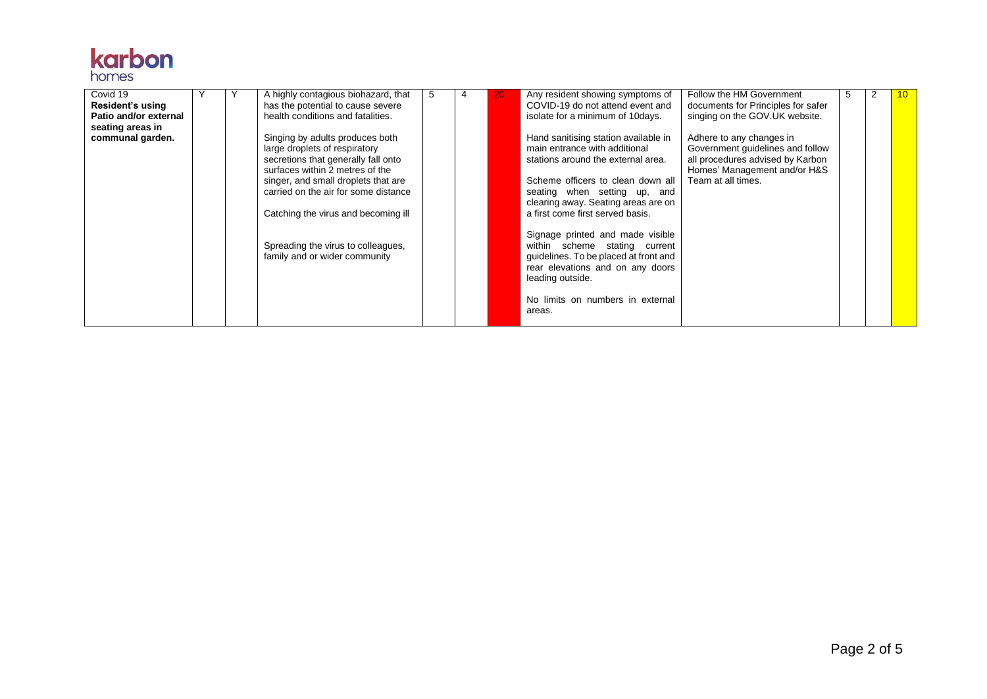

| Covid 19<br>Resident's using<br>Patio and/or external |  | A highly contagious biohazard, that<br>has the potential to cause severe<br>health conditions and fatalities.                                                                                                             | 5 | 4 | 20 | Any resident showing symptoms of<br>COVID-19 do not attend event and<br>isolate for a minimum of 10 days.                                                                                                                                            | Follow the HM Government<br>documents for Principles for safer<br>singing on the GOV.UK website.                                                       | 5 | 10 |
|-------------------------------------------------------|--|---------------------------------------------------------------------------------------------------------------------------------------------------------------------------------------------------------------------------|---|---|----|------------------------------------------------------------------------------------------------------------------------------------------------------------------------------------------------------------------------------------------------------|--------------------------------------------------------------------------------------------------------------------------------------------------------|---|----|
| seating areas in<br>communal garden.                  |  | Singing by adults produces both<br>large droplets of respiratory<br>secretions that generally fall onto<br>surfaces within 2 metres of the<br>singer, and small droplets that are<br>carried on the air for some distance |   |   |    | Hand sanitising station available in<br>main entrance with additional<br>stations around the external area.<br>Scheme officers to clean down all<br>seating when setting up, and<br>clearing away. Seating areas are on                              | Adhere to any changes in<br>Government guidelines and follow<br>all procedures advised by Karbon<br>Homes' Management and/or H&S<br>Team at all times. |   |    |
|                                                       |  | Catching the virus and becoming ill<br>Spreading the virus to colleagues,<br>family and or wider community                                                                                                                |   |   |    | a first come first served basis.<br>Signage printed and made visible<br>within scheme stating current<br>quidelines. To be placed at front and<br>rear elevations and on any doors<br>leading outside.<br>No limits on numbers in external<br>areas. |                                                                                                                                                        |   |    |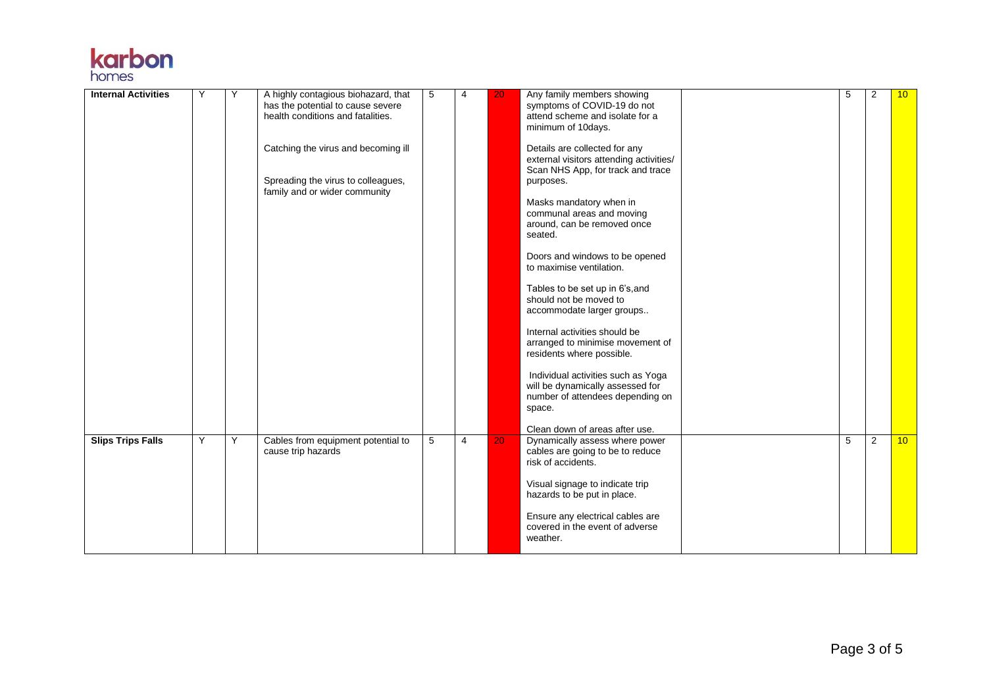## **karbon**

| <b>Internal Activities</b> | Y | Y | A highly contagious biohazard, that<br>has the potential to cause severe<br>health conditions and fatalities.<br>Catching the virus and becoming ill<br>Spreading the virus to colleagues,<br>family and or wider community | 5 | 4              | 20 | Any family members showing<br>symptoms of COVID-19 do not<br>attend scheme and isolate for a<br>minimum of 10days.<br>Details are collected for any<br>external visitors attending activities/<br>Scan NHS App, for track and trace<br>purposes.<br>Masks mandatory when in<br>communal areas and moving<br>around, can be removed once<br>seated.<br>Doors and windows to be opened<br>to maximise ventilation.<br>Tables to be set up in 6's, and<br>should not be moved to<br>accommodate larger groups<br>Internal activities should be<br>arranged to minimise movement of<br>residents where possible.<br>Individual activities such as Yoga<br>will be dynamically assessed for<br>number of attendees depending on<br>space.<br>Clean down of areas after use. | 5 | $\overline{2}$ | 10 <sup>°</sup> |
|----------------------------|---|---|-----------------------------------------------------------------------------------------------------------------------------------------------------------------------------------------------------------------------------|---|----------------|----|------------------------------------------------------------------------------------------------------------------------------------------------------------------------------------------------------------------------------------------------------------------------------------------------------------------------------------------------------------------------------------------------------------------------------------------------------------------------------------------------------------------------------------------------------------------------------------------------------------------------------------------------------------------------------------------------------------------------------------------------------------------------|---|----------------|-----------------|
| <b>Slips Trips Falls</b>   | Y | Y | Cables from equipment potential to<br>cause trip hazards                                                                                                                                                                    | 5 | $\overline{4}$ | 20 | Dynamically assess where power<br>cables are going to be to reduce<br>risk of accidents.<br>Visual signage to indicate trip<br>hazards to be put in place.<br>Ensure any electrical cables are<br>covered in the event of adverse<br>weather.                                                                                                                                                                                                                                                                                                                                                                                                                                                                                                                          | 5 | 2              | 10 <sup>°</sup> |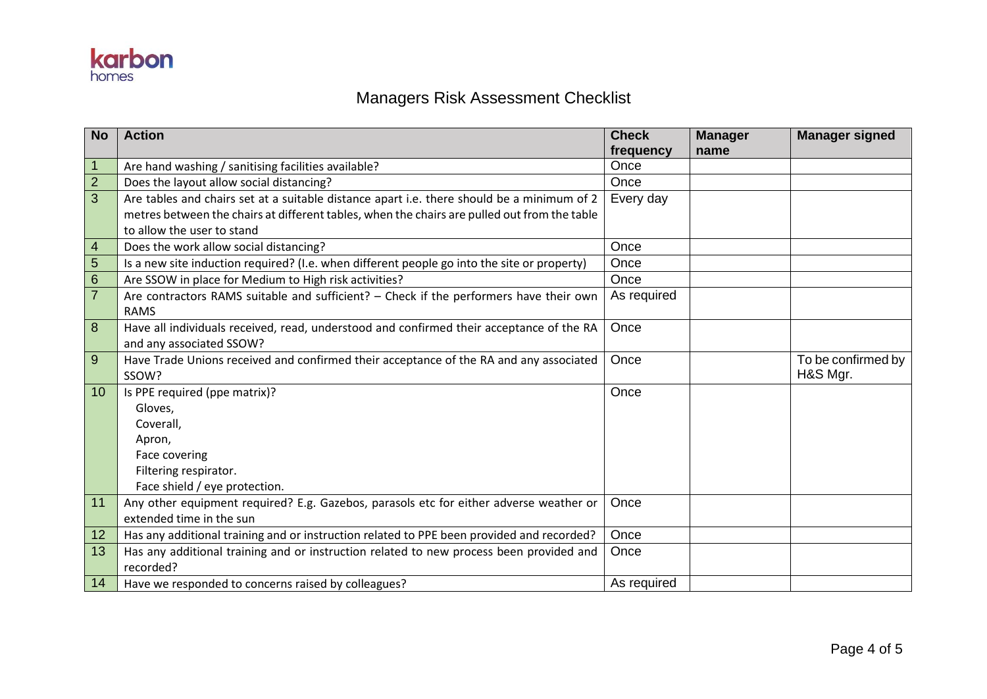

## Managers Risk Assessment Checklist

| <b>No</b>      | <b>Action</b>                                                                                | <b>Check</b> | <b>Manager</b> | <b>Manager signed</b> |
|----------------|----------------------------------------------------------------------------------------------|--------------|----------------|-----------------------|
|                |                                                                                              | frequency    | name           |                       |
| $\mathbf{1}$   | Are hand washing / sanitising facilities available?                                          | Once         |                |                       |
| $\overline{2}$ | Does the layout allow social distancing?                                                     | Once         |                |                       |
| 3              | Are tables and chairs set at a suitable distance apart i.e. there should be a minimum of 2   | Every day    |                |                       |
|                | metres between the chairs at different tables, when the chairs are pulled out from the table |              |                |                       |
|                | to allow the user to stand                                                                   |              |                |                       |
| $\overline{4}$ | Does the work allow social distancing?                                                       | Once         |                |                       |
| $\overline{5}$ | Is a new site induction required? (I.e. when different people go into the site or property)  | Once         |                |                       |
| $6\phantom{1}$ | Are SSOW in place for Medium to High risk activities?                                        | Once         |                |                       |
| $\overline{7}$ | Are contractors RAMS suitable and sufficient? - Check if the performers have their own       | As required  |                |                       |
|                | <b>RAMS</b>                                                                                  |              |                |                       |
| 8              | Have all individuals received, read, understood and confirmed their acceptance of the RA     | Once         |                |                       |
|                | and any associated SSOW?                                                                     |              |                |                       |
| 9              | Have Trade Unions received and confirmed their acceptance of the RA and any associated       | Once         |                | To be confirmed by    |
|                | SSOW?                                                                                        |              |                | H&S Mgr.              |
| 10             | Is PPE required (ppe matrix)?                                                                | Once         |                |                       |
|                | Gloves,                                                                                      |              |                |                       |
|                | Coverall,                                                                                    |              |                |                       |
|                | Apron,                                                                                       |              |                |                       |
|                | Face covering                                                                                |              |                |                       |
|                | Filtering respirator.                                                                        |              |                |                       |
|                | Face shield / eye protection.                                                                |              |                |                       |
| 11             | Any other equipment required? E.g. Gazebos, parasols etc for either adverse weather or       | Once         |                |                       |
|                | extended time in the sun                                                                     |              |                |                       |
| 12             | Has any additional training and or instruction related to PPE been provided and recorded?    | Once         |                |                       |
| 13             | Has any additional training and or instruction related to new process been provided and      | Once         |                |                       |
|                | recorded?                                                                                    |              |                |                       |
| 14             | Have we responded to concerns raised by colleagues?                                          | As required  |                |                       |